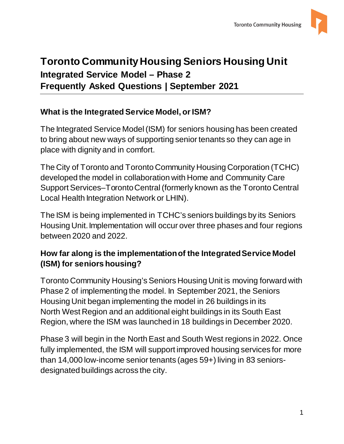

# **Toronto Community Housing Seniors Housing Unit Integrated Service Model – Phase 2 Frequently Asked Questions | September 2021**

#### **What is the Integrated Service Model, or ISM?**

The Integrated Service Model (ISM) for seniors housing has been created to bring about new ways of supporting senior tenants so they can age in place with dignity and in comfort.

The City of Toronto and Toronto Community Housing Corporation (TCHC) developed the model in collaboration with Home and Community Care Support Services–Toronto Central (formerly known as the Toronto Central Local Health Integration Network or LHIN).

The ISM is being implemented in TCHC's seniors buildings by its Seniors Housing Unit. Implementation will occur over three phases and four regions between 2020 and 2022.

#### **How far along is the implementation of the Integrated Service Model (ISM) for seniors housing?**

Toronto Community Housing's Seniors Housing Unit is moving forward with Phase 2 of implementing the model. In September 2021, the Seniors Housing Unit began implementing the model in 26 buildings in its North West Region and an additional eight buildings in its South East Region, where the ISM was launched in 18 buildings in December 2020.

Phase 3 will begin in the North East and South West regions in 2022. Once fully implemented, the ISM will support improved housing services for more than 14,000 low-income senior tenants (ages 59+) living in 83 seniorsdesignated buildings across the city.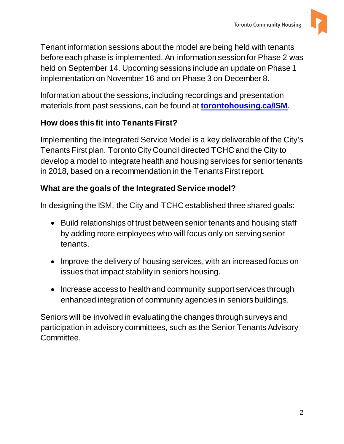

Tenant information sessions about the model are being held with tenants before each phase is implemented. An information session for Phase 2 was held on September 14. Upcoming sessions include an update on Phase 1 implementation on November 16 and on Phase 3 on December 8.

Information about the sessions, including recordings and presentation materials from past sessions, can be found at **[torontohousing.ca/ISM](https://www.torontohousing.ca/residents/Tenants-First/Pages/Integrated-Service-Model-.aspx)**.

## **How does this fit into Tenants First?**

Implementing the Integrated Service Model is a key deliverable of the City's Tenants First plan. Toronto City Council directed TCHC and the City to develop a model to integrate health and housing services for senior tenants in 2018, based on a recommendation in the Tenants First report.

#### **What are the goals of the Integrated Service model?**

In designing the ISM, the City and TCHC established three shared goals:

- Build relationships of trust between senior tenants and housing staff by adding more employees who will focus only on serving senior tenants.
- Improve the delivery of housing services, with an increased focus on issues that impact stability in seniors housing.
- Increase access to health and community support services through enhanced integration of community agencies in seniors buildings.

Seniors will be involved in evaluating the changes through surveys and participation in advisory committees, such as the Senior Tenants Advisory Committee.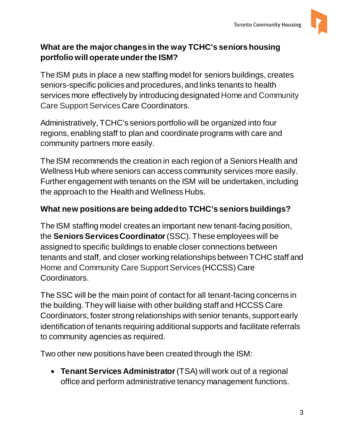

### **What are the major changes in the way TCHC's seniors housing portfolio will operate under the ISM?**

The ISM puts in place a new staffing model for seniors buildings, creates seniors-specific policies and procedures, and links tenants to health services more effectively by introducing designated Home and Community Care Support Services Care Coordinators.

Administratively, TCHC's seniors portfolio will be organized into four regions, enabling staff to plan and coordinate programs with care and community partners more easily.

The ISM recommends the creation in each region of a Seniors Health and Wellness Hub where seniors can access community services more easily. Further engagement with tenants on the ISM will be undertaken, including the approach to the Health and Wellness Hubs.

## **What new positions are being added to TCHC's seniors buildings?**

The ISM staffing model creates an important new tenant-facing position, the **Seniors Services Coordinator**(SSC). These employees will be assigned to specific buildings to enable closer connections between tenants and staff, and closer working relationships between TCHC staff and Home and Community Care Support Services (HCCSS) Care Coordinators.

The SSC will be the main point of contact for all tenant-facing concerns in the building. They will liaise with other building staff and HCCSS Care Coordinators, foster strong relationships with senior tenants, support early identification of tenants requiring additional supports and facilitate referrals to community agencies as required.

Two other new positions have been created through the ISM:

• **Tenant Services Administrator**(TSA) will work out of a regional office and perform administrative tenancy management functions.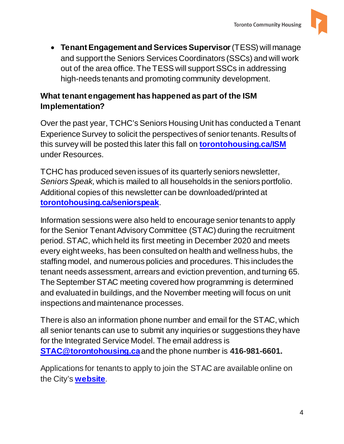

• **Tenant Engagement and Services Supervisor**(TESS) will manage and support the Seniors Services Coordinators (SSCs) and will work out of the area office. The TESS will support SSCs in addressing high-needs tenants and promoting community development.

#### **What tenant engagement has happened as part of the ISM Implementation?**

Over the past year, TCHC's Seniors Housing Unit has conducted a Tenant Experience Survey to solicit the perspectives of senior tenants. Results of this survey will be posted this later this fall on **[torontohousing.ca/ISM](http://www.torontohousing.ca/ISM)** under Resources.

TCHC has produced seven issues of its quarterly seniors newsletter, *Seniors Speak,* which is mailed to all households in the seniors portfolio. Additional copies of this newsletter can be downloaded/printed at **[torontohousing.ca/seniorspeak](http://www.torontohousing.ca/seniorsspeak)**.

Information sessions were also held to encourage senior tenants to apply for the Senior Tenant Advisory Committee (STAC) during the recruitment period. STAC, which held its first meeting in December 2020 and meets every eight weeks, has been consulted on health and wellness hubs, the staffing model, and numerous policies and procedures. This includes the tenant needs assessment, arrears and eviction prevention, and turning 65. The September STAC meeting covered how programming is determined and evaluated in buildings, and the November meeting will focus on unit inspections and maintenance processes.

There is also an information phone number and email for the STAC, which all senior tenants can use to submit any inquiries or suggestions they have for the Integrated Service Model. The email address is **[STAC@torontohousing.ca](mailto:STAC@torontohousing.ca)**and the phone number is **416-981-6601.**

Applications for tenants to apply to join the STAC are available online on the City's **[website](https://secure.toronto.ca/pa/decisionBody/762.do)**.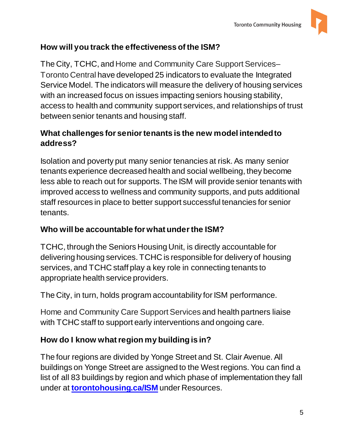

## **How will you track the effectiveness of the ISM?**

The City, TCHC, and Home and Community Care Support Services– Toronto Central have developed 25 indicators to evaluate the Integrated Service Model. The indicators will measure the delivery of housing services with an increased focus on issues impacting seniors housing stability, access to health and community support services, and relationships of trust between senior tenants and housing staff.

## **What challenges for senior tenants is the new model intended to address?**

Isolation and poverty put many senior tenancies at risk. As many senior tenants experience decreased health and social wellbeing, they become less able to reach out for supports. The ISM will provide senior tenants with improved access to wellness and community supports, and puts additional staff resources in place to better support successful tenancies for senior tenants.

## **Who will be accountable for what under the ISM?**

TCHC, through the Seniors Housing Unit, is directly accountable for delivering housing services. TCHC is responsible for delivery of housing services, and TCHC staff play a key role in connecting tenants to appropriate health service providers.

The City, in turn, holds program accountability for ISM performance.

Home and Community Care Support Services and health partners liaise with TCHC staff to support early interventions and ongoing care.

# **How do I know what region my building is in?**

The four regions are divided by Yonge Street and St. Clair Avenue. All buildings on Yonge Street are assigned to the West regions. You can find a list of all 83 buildings by region and which phase of implementation they fall under at **[torontohousing.ca/ISM](http://www.torontohousing.ca/ISM)** under Resources.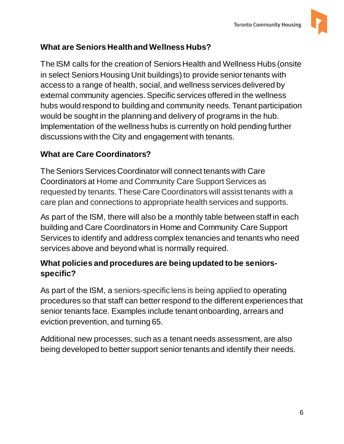

### **What are Seniors Health and Wellness Hubs?**

The ISM calls for the creation of Seniors Health and Wellness Hubs (onsite in select Seniors Housing Unit buildings) to provide senior tenants with access to a range of health, social, and wellness services delivered by external community agencies. Specific services offered in the wellness hubs would respond to building and community needs. Tenant participation would be sought in the planning and delivery of programs in the hub. Implementation of the wellness hubs is currently on hold pending further discussions with the City and engagement with tenants.

#### **What are Care Coordinators?**

The Seniors Services Coordinator will connect tenants with Care Coordinators at Home and Community Care Support Services as requested by tenants. These Care Coordinators will assist tenants with a care plan and connections to appropriate health services and supports.

As part of the ISM, there will also be a monthly table between staff in each building and Care Coordinators in Home and Community Care Support Services to identify and address complex tenancies and tenants who need services above and beyond what is normally required.

#### **What policies and procedures are being updated to be seniorsspecific?**

As part of the ISM, a seniors-specific lens is being applied to operating procedures so that staff can better respond to the different experiences that senior tenants face. Examples include tenant onboarding, arrears and eviction prevention, and turning 65.

Additional new processes, such as a tenant needs assessment, are also being developed to better support senior tenants and identify their needs.